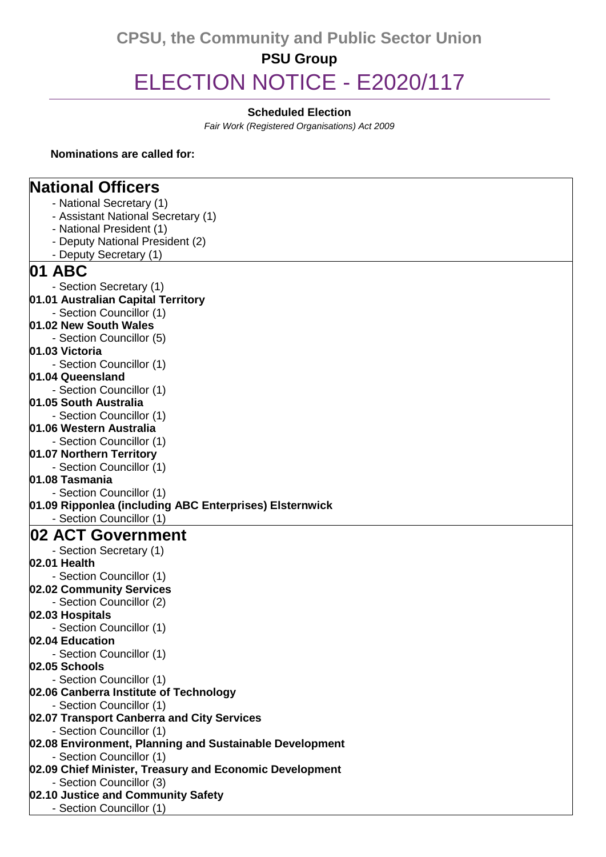# **CPSU, the Community and Public Sector Union PSU Group** ELECTION NOTICE - E2020/117

### **Scheduled Election**

*Fair Work (Registered Organisations) Act 2009*

#### **Nominations are called for:**

### **National Officers**

- National Secretary (1)
- Assistant National Secretary (1)
- National President (1)
- Deputy National President (2)
- Deputy Secretary (1)
- **01 ABC** - Section Secretary (1) **01.01 Australian Capital Territory** - Section Councillor (1) **01.02 New South Wales** - Section Councillor (5) **01.03 Victoria** - Section Councillor (1) **01.04 Queensland** - Section Councillor (1) **01.05 South Australia** - Section Councillor (1)
- **01.06 Western Australia**
- Section Councillor (1)
- **01.07 Northern Territory**
- Section Councillor (1)

### **01.08 Tasmania**

- Section Councillor (1)
- **01.09 Ripponlea (including ABC Enterprises) Elsternwick**
	- Section Councillor (1)

### **02 ACT Government**

- Section Secretary (1)
- **02.01 Health**
- Section Councillor (1)
- **02.02 Community Services**
- Section Councillor (2)
- **02.03 Hospitals**
	- Section Councillor (1)
- **02.04 Education**
- Section Councillor (1)
- **02.05 Schools**
- Section Councillor (1)
- **02.06 Canberra Institute of Technology**
	- Section Councillor (1)
- **02.07 Transport Canberra and City Services**
- Section Councillor (1)
- **02.08 Environment, Planning and Sustainable Development**
- Section Councillor (1)
- **02.09 Chief Minister, Treasury and Economic Development**
- Section Councillor (3)
- **02.10 Justice and Community Safety**
	- Section Councillor (1)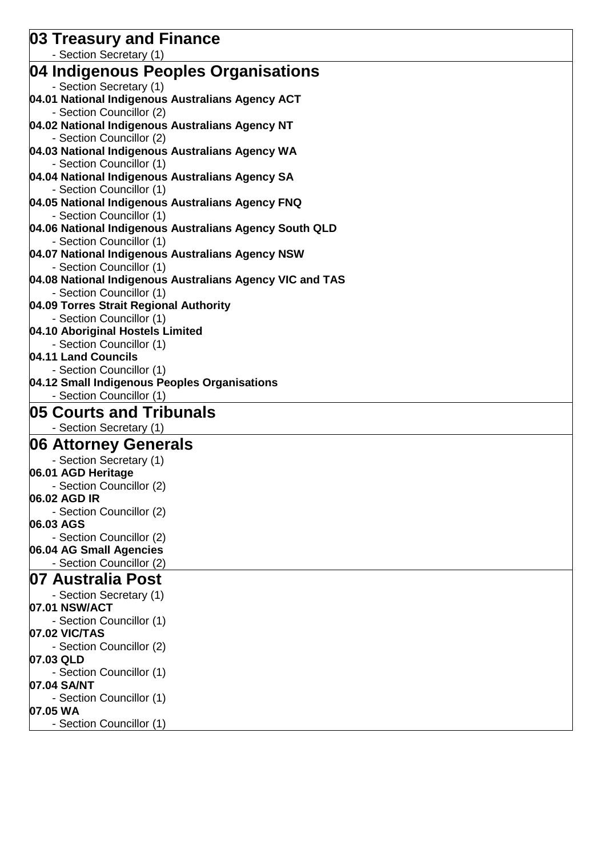| 03 Treasury and Finance                                                              |
|--------------------------------------------------------------------------------------|
| - Section Secretary (1)                                                              |
| 04 Indigenous Peoples Organisations                                                  |
| - Section Secretary (1)                                                              |
| 04.01 National Indigenous Australians Agency ACT                                     |
| - Section Councillor (2)                                                             |
| 04.02 National Indigenous Australians Agency NT                                      |
| - Section Councillor (2)                                                             |
| 04.03 National Indigenous Australians Agency WA                                      |
| - Section Councillor (1)                                                             |
| 04.04 National Indigenous Australians Agency SA                                      |
| - Section Councillor (1)                                                             |
| 04.05 National Indigenous Australians Agency FNQ                                     |
| - Section Councillor (1)                                                             |
| 04.06 National Indigenous Australians Agency South QLD                               |
| - Section Councillor (1)                                                             |
| 04.07 National Indigenous Australians Agency NSW                                     |
| - Section Councillor (1)<br>04.08 National Indigenous Australians Agency VIC and TAS |
| - Section Councillor (1)                                                             |
| 04.09 Torres Strait Regional Authority                                               |
| - Section Councillor (1)                                                             |
| 04.10 Aboriginal Hostels Limited                                                     |
| - Section Councillor (1)                                                             |
| 04.11 Land Councils                                                                  |
| - Section Councillor (1)                                                             |
| 04.12 Small Indigenous Peoples Organisations                                         |
| - Section Councillor (1)                                                             |
| 05 Courts and Tribunals                                                              |
| - Section Secretary (1)                                                              |
| 06 Attorney Generals                                                                 |
| - Section Secretary (1)                                                              |
| 06.01 AGD Heritage                                                                   |
| - Section Councillor (2)                                                             |
| 06.02 AGD IR                                                                         |
| - Section Councillor (2)                                                             |
| 06.03 AGS                                                                            |
| - Section Councillor (2)                                                             |
| 06.04 AG Small Agencies                                                              |
| - Section Councillor (2)                                                             |
| 07 Australia Post                                                                    |
| - Section Secretary (1)                                                              |
| 07.01 NSW/ACT                                                                        |
| - Section Councillor (1)                                                             |
| 07.02 VIC/TAS                                                                        |
| - Section Councillor (2)                                                             |
| 07.03 QLD                                                                            |
| - Section Councillor (1)                                                             |
| 07.04 SA/NT                                                                          |
| - Section Councillor (1)                                                             |
| 07.05 WA                                                                             |
| - Section Councillor (1)                                                             |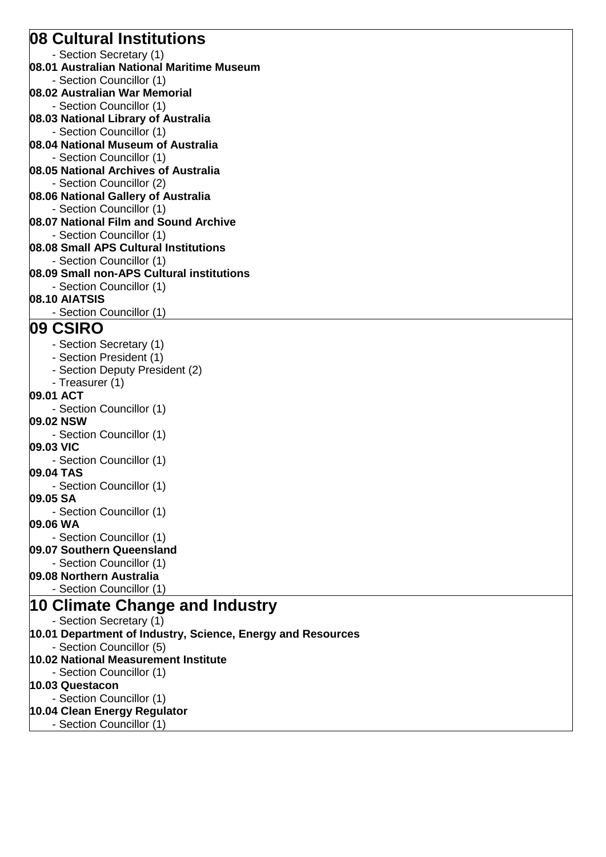### **08 Cultural Institutions**

- Section Secretary (1)

**08.01 Australian National Maritime Museum**

- Section Councillor (1)

- **08.02 Australian War Memorial**
- Section Councillor (1)
- **08.03 National Library of Australia**
- Section Councillor (1)
- **08.04 National Museum of Australia** - Section Councillor (1)
- **08.05 National Archives of Australia**
- Section Councillor (2)
- **08.06 National Gallery of Australia**
- Section Councillor (1)
- **08.07 National Film and Sound Archive** - Section Councillor (1)
- **08.08 Small APS Cultural Institutions**
- Section Councillor (1)
- **08.09 Small non-APS Cultural institutions**
- Section Councillor (1) **08.10 AIATSIS**
	- Section Councillor (1)

## **09 CSIRO**

- Section Secretary (1)
- Section President (1)
- Section Deputy President (2)
- Treasurer (1)
- **09.01 ACT**
- Section Councillor (1)
- **09.02 NSW**
- Section Councillor (1) **09.03 VIC**
- Section Councillor (1)
- **09.04 TAS**
	- Section Councillor (1)
- **09.05 SA**
- Section Councillor (1)

### **09.06 WA**

- Section Councillor (1)
- **09.07 Southern Queensland**
- Section Councillor (1)
- **09.08 Northern Australia**
- Section Councillor (1)

### **10 Climate Change and Industry**

- Section Secretary (1)
- **10.01 Department of Industry, Science, Energy and Resources**
- Section Councillor (5)
- **10.02 National Measurement Institute**
- Section Councillor (1)

### **10.03 Questacon**

- Section Councillor (1)
- **10.04 Clean Energy Regulator**
- Section Councillor (1)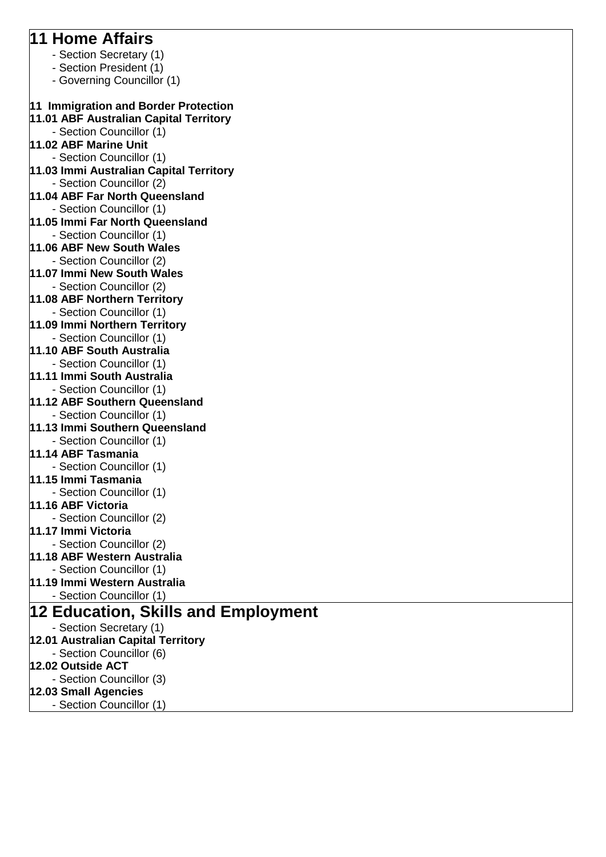## **11 Home Affairs**

- Section Secretary (1)
- Section President (1)
- Governing Councillor (1)

## **11 Immigration and Border Protection**

- **11.01 ABF Australian Capital Territory**
	- Section Councillor (1)
- **11.02 ABF Marine Unit**
- Section Councillor (1)
- **11.03 Immi Australian Capital Territory** - Section Councillor (2)
- **11.04 ABF Far North Queensland**
- Section Councillor (1)
- **11.05 Immi Far North Queensland** - Section Councillor (1)
- **11.06 ABF New South Wales**
- Section Councillor (2) **11.07 Immi New South Wales**
- Section Councillor (2)
- **11.08 ABF Northern Territory** - Section Councillor (1)
- **11.09 Immi Northern Territory**
- Section Councillor (1)
- **11.10 ABF South Australia**
- Section Councillor (1) **11.11 Immi South Australia**
- Section Councillor (1)
- **11.12 ABF Southern Queensland**
	- Section Councillor (1)
- **11.13 Immi Southern Queensland**
- Section Councillor (1)
- **11.14 ABF Tasmania**
- Section Councillor (1)
- **11.15 Immi Tasmania**
- Section Councillor (1)
- **11.16 ABF Victoria**
- Section Councillor (2)
- **11.17 Immi Victoria**
- Section Councillor (2)
- **11.18 ABF Western Australia**
- Section Councillor (1)
- **11.19 Immi Western Australia**
	- Section Councillor (1)

## **12 Education, Skills and Employment**

- Section Secretary (1)
- **12.01 Australian Capital Territory**
- Section Councillor (6)
- **12.02 Outside ACT**
- Section Councillor (3)
- **12.03 Small Agencies**
- Section Councillor (1)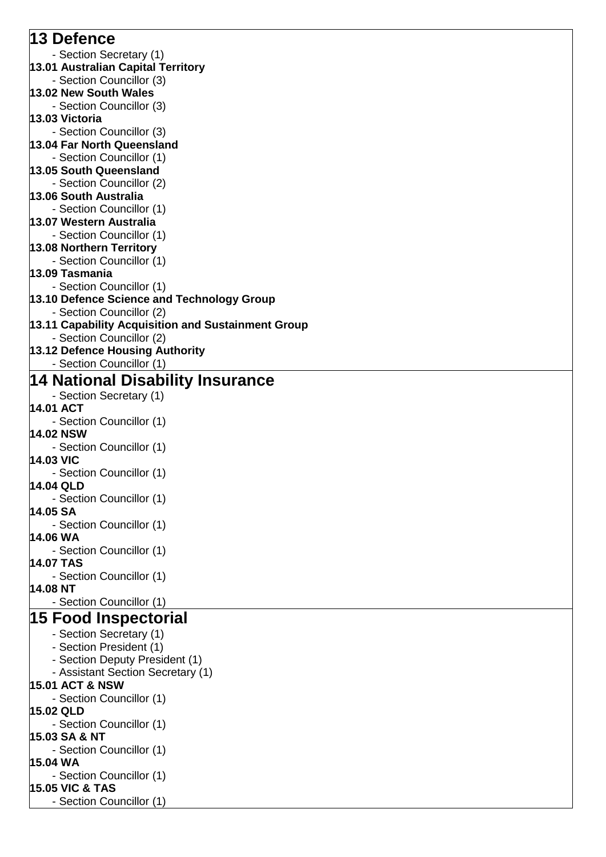### **13 Defence** - Section Secretary (1) **13.01 Australian Capital Territory** - Section Councillor (3) **13.02 New South Wales** - Section Councillor (3) **13.03 Victoria** - Section Councillor (3) **13.04 Far North Queensland** - Section Councillor (1) **13.05 South Queensland** - Section Councillor (2) **13.06 South Australia** - Section Councillor (1) **13.07 Western Australia** - Section Councillor (1) **13.08 Northern Territory** - Section Councillor (1) **13.09 Tasmania** - Section Councillor (1) **13.10 Defence Science and Technology Group** - Section Councillor (2) **13.11 Capability Acquisition and Sustainment Group** - Section Councillor (2) **13.12 Defence Housing Authority** - Section Councillor (1) **14 National Disability Insurance** - Section Secretary (1) **14.01 ACT** - Section Councillor (1) **14.02 NSW** - Section Councillor (1) **14.03 VIC** - Section Councillor (1) **14.04 QLD** - Section Councillor (1) **14.05 SA** - Section Councillor (1) **14.06 WA** - Section Councillor (1) **14.07 TAS** - Section Councillor (1) **14.08 NT** - Section Councillor (1) **15 Food Inspectorial** - Section Secretary (1) - Section President (1) - Section Deputy President (1) - Assistant Section Secretary (1) **15.01 ACT & NSW** - Section Councillor (1) **15.02 QLD** - Section Councillor (1) **15.03 SA & NT** - Section Councillor (1) **15.04 WA** - Section Councillor (1) **15.05 VIC & TAS** - Section Councillor (1)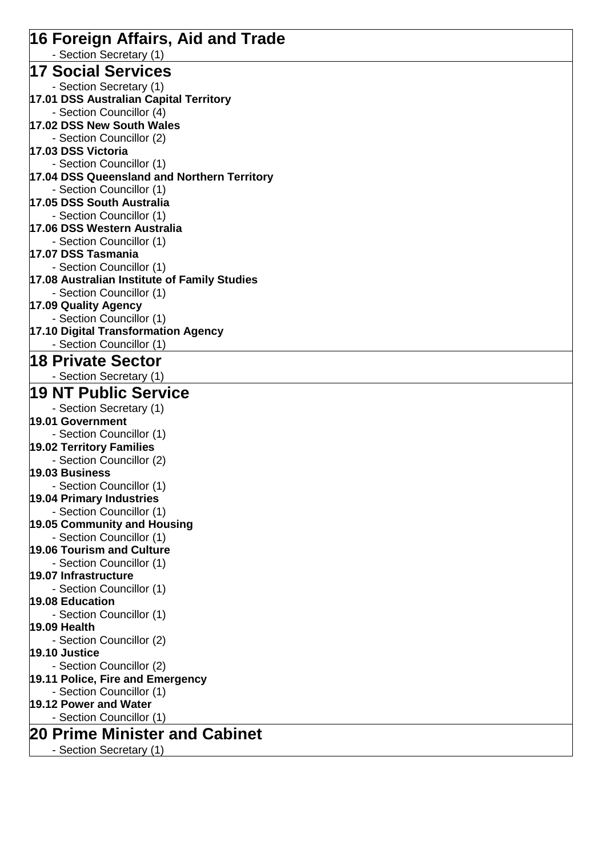| 16 Foreign Affairs, Aid and Trade                               |
|-----------------------------------------------------------------|
| - Section Secretary (1)                                         |
| 17 Social Services                                              |
| - Section Secretary (1)                                         |
| 17.01 DSS Australian Capital Territory                          |
| - Section Councillor (4)<br>17.02 DSS New South Wales           |
| - Section Councillor (2)                                        |
| 17.03 DSS Victoria                                              |
| - Section Councillor (1)                                        |
| 17.04 DSS Queensland and Northern Territory                     |
| - Section Councillor (1)                                        |
| 17.05 DSS South Australia                                       |
| - Section Councillor (1)                                        |
| 17.06 DSS Western Australia                                     |
| - Section Councillor (1)                                        |
| 17.07 DSS Tasmania                                              |
| - Section Councillor (1)                                        |
| 17.08 Australian Institute of Family Studies                    |
| - Section Councillor (1)                                        |
| 17.09 Quality Agency                                            |
| - Section Councillor (1)                                        |
| 17.10 Digital Transformation Agency<br>- Section Councillor (1) |
|                                                                 |
| ∣18 Private Sector                                              |
| - Section Secretary (1)                                         |
| <b>19 NT Public Service</b>                                     |
| - Section Secretary (1)                                         |
| 19.01 Government                                                |
| - Section Councillor (1)                                        |
| 19.02 Territory Families                                        |
| - Section Councillor (2)                                        |
| 19.03 Business                                                  |
| - Section Councillor (1)                                        |
| 19.04 Primary Industries                                        |
| - Section Councillor (1)                                        |
| 19.05 Community and Housing<br>- Section Councillor (1)         |
| <b>19.06 Tourism and Culture</b>                                |
| - Section Councillor (1)                                        |
| 19.07 Infrastructure                                            |
| - Section Councillor (1)                                        |
| 19.08 Education                                                 |
| - Section Councillor (1)                                        |
| 19.09 Health                                                    |
| - Section Councillor (2)                                        |
| <b>19.10 Justice</b>                                            |
| - Section Councillor (2)                                        |
| 19.11 Police, Fire and Emergency                                |
| - Section Councillor (1)                                        |
| 19.12 Power and Water                                           |
| - Section Councillor (1)                                        |
| <b>20 Prime Minister and Cabinet</b>                            |
| - Section Secretary (1)                                         |
|                                                                 |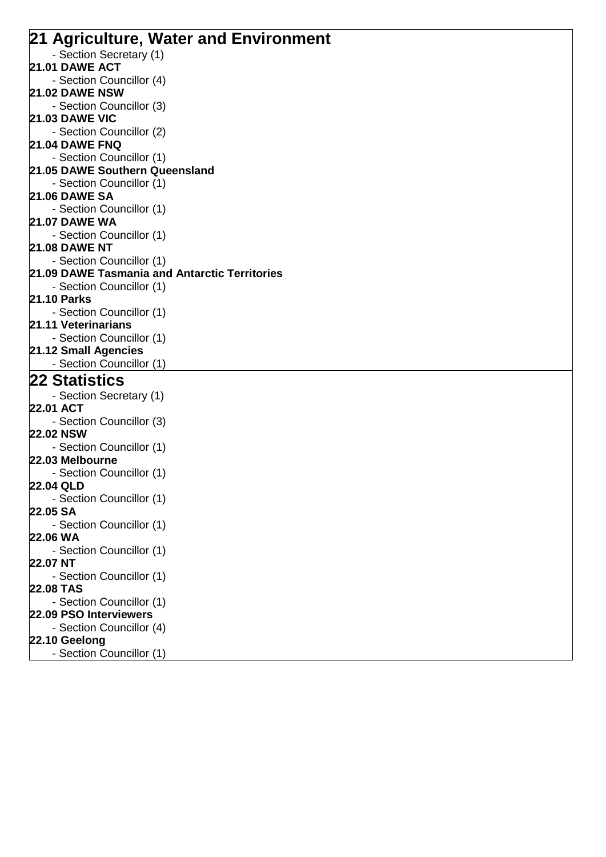| 21 Agriculture, Water and Environment         |  |
|-----------------------------------------------|--|
| - Section Secretary (1)                       |  |
| <b>21.01 DAWE ACT</b>                         |  |
| - Section Councillor (4)                      |  |
| <b>21.02 DAWE NSW</b>                         |  |
| - Section Councillor (3)                      |  |
| <b>21.03 DAWE VIC</b>                         |  |
| - Section Councillor (2)                      |  |
| <b>21.04 DAWE FNQ</b>                         |  |
| - Section Councillor (1)                      |  |
| 21.05 DAWE Southern Queensland                |  |
| - Section Councillor (1)                      |  |
| <b>21.06 DAWE SA</b>                          |  |
| - Section Councillor (1)                      |  |
| <b>21.07 DAWE WA</b>                          |  |
| - Section Councillor (1)                      |  |
| <b>21.08 DAWE NT</b>                          |  |
| - Section Councillor (1)                      |  |
| 21.09 DAWE Tasmania and Antarctic Territories |  |
| - Section Councillor (1)                      |  |
| <b>21.10 Parks</b>                            |  |
| - Section Councillor (1)                      |  |
| 21.11 Veterinarians                           |  |
| - Section Councillor (1)                      |  |
| 21.12 Small Agencies                          |  |
| - Section Councillor (1)                      |  |
| <b>22 Statistics</b>                          |  |
| - Section Secretary (1)                       |  |
| 22.01 ACT                                     |  |
| - Section Councillor (3)                      |  |
| <b>22.02 NSW</b>                              |  |
| - Section Councillor (1)                      |  |
| 22.03 Melbourne                               |  |
| - Section Councillor (1)                      |  |
| 22.04 QLD                                     |  |
| - Section Councillor (1)<br>22.05 SA          |  |
|                                               |  |
| - Section Councillor (1)<br>22.06 WA          |  |
|                                               |  |
| - Section Councillor (1)<br>22.07 NT          |  |
| - Section Councillor (1)                      |  |
| <b>22.08 TAS</b>                              |  |
| - Section Councillor (1)                      |  |
| 22.09 PSO Interviewers                        |  |
| - Section Councillor (4)                      |  |
| 22.10 Geelong                                 |  |
| - Section Councillor (1)                      |  |
|                                               |  |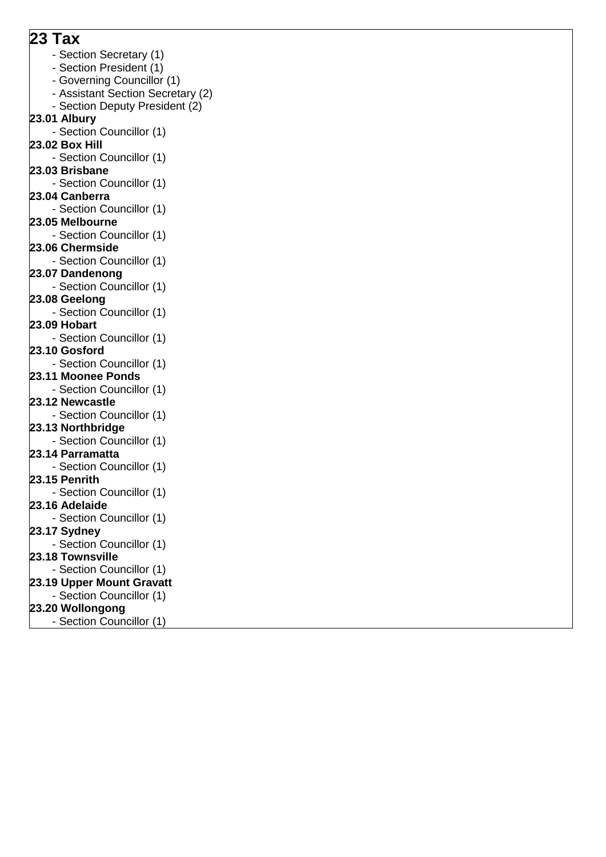### **23 Tax**

- Section Secretary (1)
- Section President (1)
- Governing Councillor (1)
- Assistant Section Secretary (2)
- Section Deputy President (2)
- **23.01 Albury**
	- Section Councillor (1)
- **23.02 Box Hill**
- Section Councillor (1)
- **23.03 Brisbane**
- Section Councillor (1)
- **23.04 Canberra**
- Section Councillor (1)
- **23.05 Melbourne**
	- Section Councillor (1)
- **23.06 Chermside**
- Section Councillor (1)
- **23.07 Dandenong**
	- Section Councillor (1)
- **23.08 Geelong**
	- Section Councillor (1)
- **23.09 Hobart**
- Section Councillor (1) **23.10 Gosford**
- 
- Section Councillor (1) **23.11 Moonee Ponds**
- Section Councillor (1)
- **23.12 Newcastle**
- Section Councillor (1)
- **23.13 Northbridge**
- Section Councillor (1)
- **23.14 Parramatta**
- Section Councillor (1)
- **23.15 Penrith**
	- Section Councillor (1)
- **23.16 Adelaide**
- Section Councillor (1)
- **23.17 Sydney** - Section Councillor (1)
- **23.18 Townsville**
- Section Councillor (1)
- **23.19 Upper Mount Gravatt**
- Section Councillor (1)
- **23.20 Wollongong**
- Section Councillor (1)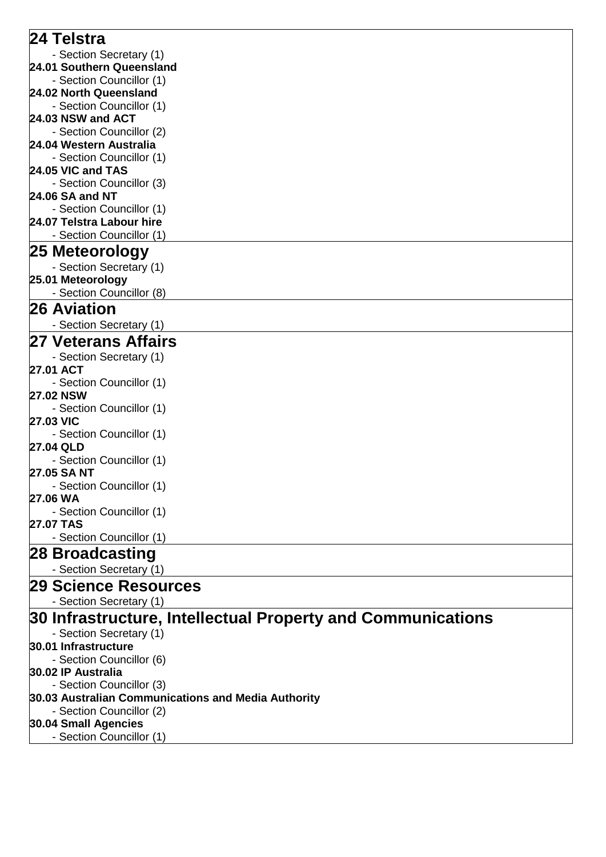| 24 Telstra                                                  |
|-------------------------------------------------------------|
| - Section Secretary (1)                                     |
| 24.01 Southern Queensland                                   |
| - Section Councillor (1)                                    |
| 24.02 North Queensland                                      |
| - Section Councillor (1)                                    |
| 24.03 NSW and ACT                                           |
| - Section Councillor (2)                                    |
| 24.04 Western Australia                                     |
| - Section Councillor (1)                                    |
| 24.05 VIC and TAS                                           |
| - Section Councillor (3)                                    |
| 24.06 SA and NT                                             |
| - Section Councillor (1)                                    |
| 24.07 Telstra Labour hire                                   |
| - Section Councillor (1)                                    |
| 25 Meteorology                                              |
| - Section Secretary (1)                                     |
| 25.01 Meteorology                                           |
| - Section Councillor (8)                                    |
| 26 Aviation                                                 |
| - Section Secretary (1)                                     |
| <b>27 Veterans Affairs</b>                                  |
| - Section Secretary (1)                                     |
| 27.01 ACT                                                   |
| - Section Councillor (1)                                    |
| <b>27.02 NSW</b>                                            |
| - Section Councillor (1)                                    |
| <b>27.03 VIC</b>                                            |
| - Section Councillor (1)                                    |
| <b>27.04 QLD</b>                                            |
| - Section Councillor (1)                                    |
| 27.05 SA NT<br>- Section Councillor (1)                     |
| 27.06 WA                                                    |
| - Section Councillor (1)                                    |
| <b>27.07 TAS</b>                                            |
| - Section Councillor (1)                                    |
| 28 Broadcasting                                             |
| - Section Secretary (1)                                     |
| <b>29 Science Resources</b>                                 |
|                                                             |
| - Section Secretary (1)                                     |
| 30 Infrastructure, Intellectual Property and Communications |
| - Section Secretary (1)                                     |
| 30.01 Infrastructure                                        |
| - Section Councillor (6)                                    |
| 30.02 IP Australia                                          |
| - Section Councillor (3)                                    |
| 30.03 Australian Communications and Media Authority         |
| - Section Councillor (2)                                    |
| 30.04 Small Agencies                                        |
| - Section Councillor (1)                                    |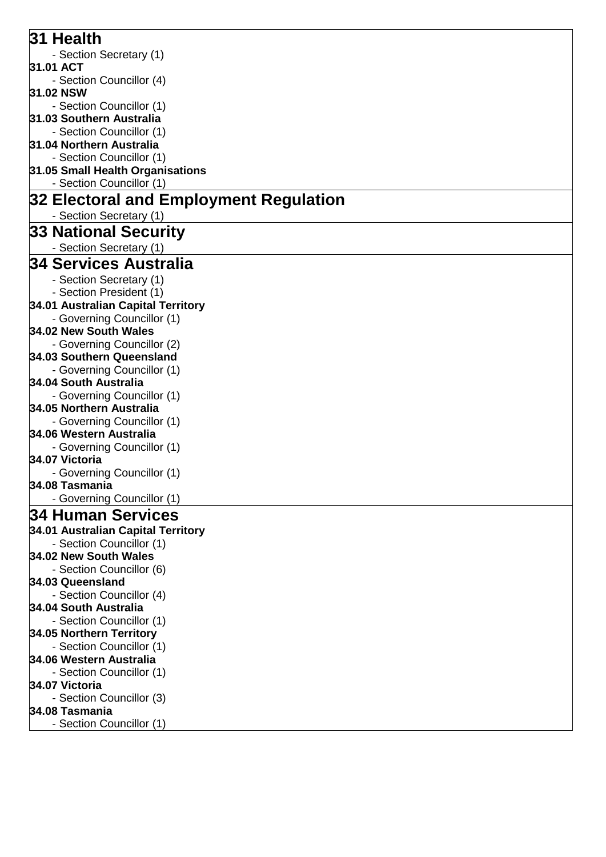| 31 Health                              |
|----------------------------------------|
| - Section Secretary (1)                |
| 31.01 ACT                              |
| - Section Councillor (4)               |
| 31.02 NSW                              |
| - Section Councillor (1)               |
| 31.03 Southern Australia               |
| - Section Councillor (1)               |
| 31.04 Northern Australia               |
| - Section Councillor (1)               |
| 31.05 Small Health Organisations       |
| - Section Councillor (1)               |
| 32 Electoral and Employment Regulation |
| - Section Secretary (1)                |
| 33 National Security                   |
| - Section Secretary (1)                |
| 34 Services Australia                  |
| - Section Secretary (1)                |
| - Section President (1)                |
| 34.01 Australian Capital Territory     |
| - Governing Councillor (1)             |
| 34.02 New South Wales                  |
| - Governing Councillor (2)             |
| 34.03 Southern Queensland              |
| - Governing Councillor (1)             |
| 34.04 South Australia                  |
| - Governing Councillor (1)             |
| 34.05 Northern Australia               |
| - Governing Councillor (1)             |
| 34.06 Western Australia                |
| - Governing Councillor (1)             |
| 34.07 Victoria                         |
| - Governing Councillor (1)             |
| 34.08 Tasmania                         |
| - Governing Councillor (1)             |
| 34 Human Services                      |
| 34.01 Australian Capital Territory     |
| - Section Councillor (1)               |
| 34.02 New South Wales                  |
| - Section Councillor (6)               |
| 34.03 Queensland                       |
| - Section Councillor (4)               |
| 34.04 South Australia                  |
| - Section Councillor (1)               |
| 34.05 Northern Territory               |
| - Section Councillor (1)               |
| 34.06 Western Australia                |
| - Section Councillor (1)               |
| 34.07 Victoria                         |
| - Section Councillor (3)               |
| 34.08 Tasmania                         |
| - Section Councillor (1)               |
|                                        |